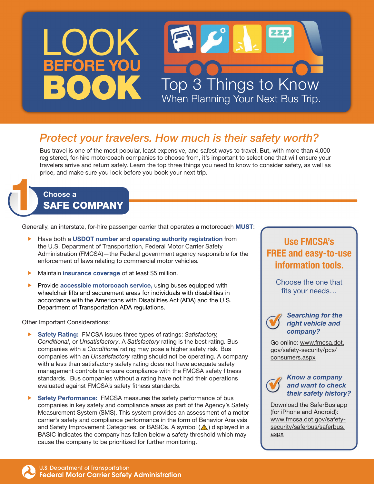

# *Protect your travelers. How much is their safety worth?*

Bus travel is one of the most popular, least expensive, and safest ways to travel. But, with more than 4,000 registered, for-hire motorcoach companies to choose from, it's important to select one that will ensure your travelers arrive and return safely. Learn the top three things you need to know to consider safety, as well as price, and make sure you look before you book your next trip.

### Choose a SAFE COMPANY

Generally, an interstate, for-hire passenger carrier that operates a motorcoach MUST:

- Have both a USDOT number and operating authority registration from the U.S. Department of Transportation, Federal Motor Carrier Safety Administration (FMCSA)—the Federal government agency responsible for the enforcement of laws relating to commercial motor vehicles.
- $\blacktriangleright$  Maintain insurance coverage of at least \$5 million.
- Provide accessible motorcoach service, using buses equipped with wheelchair lifts and securement areas for individuals with disabilities in accordance with the Americans with Disabilities Act (ADA) and the U.S. Department of Transportation ADA regulations.

Other Important Considerations:

- **Safety Rating: FMCSA issues three types of ratings: Satisfactory,** *Conditional*, or *Unsatisfactory*. A *Satisfactory* rating is the best rating. Bus companies with a *Conditional* rating may pose a higher safety risk. Bus companies with an *Unsatisfactory* rating should not be operating. A company with a less than satisfactory safety rating does not have adequate safety management controls to ensure compliance with the FMCSA safety fitness standards. Bus companies without a rating have not had their operations evaluated against FMCSA's safety fitness standards.
- **F** Safety Performance: FMCSA measures the safety performance of bus companies in key safety and compliance areas as part of the Agency's Safety Measurement System (SMS). This system provides an assessment of a motor carrier's safety and compliance performance in the form of Behavior Analysis and Safety Improvement Categories, or BASICs. A symbol  $(\triangle)$  displayed in a BASIC indicates the company has fallen below a safety threshold which may cause the company to be prioritized for further monitoring.

## Use FMCSA's FREE and easy-to-use information tools.

Choose the one that fits your needs…



*Searching for the right vehicle and company?*

Go online: [www.fmcsa.dot.](http://www.fmcsa.dot.gov/safety-security/pcs/consumers.aspx) [gov/safety-security/pcs/](http://www.fmcsa.dot.gov/safety-security/pcs/consumers.aspx) [consumers.aspx](http://www.fmcsa.dot.gov/safety-security/pcs/consumers.aspx)



#### *Know a company and want to check their safety history?*

Download the SaferBus app (for iPhone and Android): [www.fmcsa.dot.gov/safety](http://www.fmcsa.dot.gov/safety-security/saferbus/saferbus.aspx)[security/saferbus/saferbus.](http://www.fmcsa.dot.gov/safety-security/saferbus/saferbus.aspx) [aspx](http://www.fmcsa.dot.gov/safety-security/saferbus/saferbus.aspx)